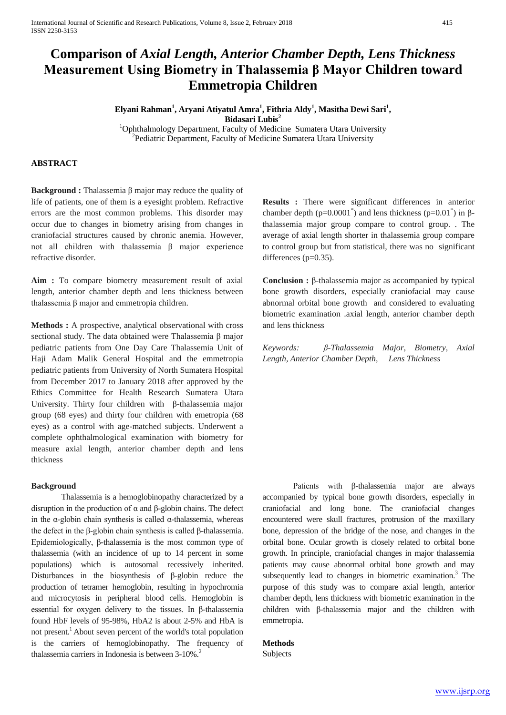# **Comparison of** *Axial Length, Anterior Chamber Depth, Lens Thickness*  **Measurement Using Biometry in Thalassemia β Mayor Children toward Emmetropia Children**

**Elyani Rahman<sup>1</sup> , Aryani Atiyatul Amra<sup>1</sup> , Fithria Aldy<sup>1</sup> , Masitha Dewi Sari<sup>1</sup> , Bidasari Lubis<sup>2</sup>**

<sup>1</sup>Ophthalmology Department, Faculty of Medicine Sumatera Utara University  $P^2$ Pediatric Department, Faculty of Medicine Sumatera Utara University

## **ABSTRACT**

**Background :** Thalassemia β major may reduce the quality of life of patients, one of them is a eyesight problem. Refractive errors are the most common problems. This disorder may occur due to changes in biometry arising from changes in craniofacial structures caused by chronic anemia. However, not all children with thalassemia β major experience refractive disorder.

**Aim :** To compare biometry measurement result of axial length, anterior chamber depth and lens thickness between thalassemia β major and emmetropia children.

**Methods :** A prospective, analytical observational with cross sectional study. The data obtained were Thalassemia β major pediatric patients from One Day Care Thalassemia Unit of Haji Adam Malik General Hospital and the emmetropia pediatric patients from University of North Sumatera Hospital from December 2017 to January 2018 after approved by the Ethics Committee for Health Research Sumatera Utara University. Thirty four children with β-thalassemia major group (68 eyes) and thirty four children with emetropia (68 eyes) as a control with age-matched subjects. Underwent a complete ophthalmological examination with biometry for measure axial length, anterior chamber depth and lens thickness

#### **Background**

Thalassemia is a hemoglobinopathy characterized by a disruption in the production of α and β-globin chains. The defect in the α-globin chain synthesis is called α-thalassemia, whereas the defect in the β-globin chain synthesis is called β-thalassemia. Epidemiologically, β-thalassemia is the most common type of thalassemia (with an incidence of up to 14 percent in some populations) which is autosomal recessively inherited. Disturbances in the biosynthesis of β-globin reduce the production of tetramer hemoglobin, resulting in hypochromia and microcytosis in peripheral blood cells. Hemoglobin is essential for oxygen delivery to the tissues. In β-thalassemia found HbF levels of 95-98%, HbA2 is about 2-5% and HbA is not present.<sup>1</sup> About seven percent of the world's total population is the carriers of hemoglobinopathy. The frequency of thalassemia carriers in Indonesia is between 3-10%.<sup>2</sup>

**Results :** There were significant differences in anterior chamber depth ( $p=0.0001^*$ ) and lens thickness ( $p=0.01^*$ ) in  $\beta$ thalassemia major group compare to control group. . The average of axial length shorter in thalassemia group compare to control group but from statistical, there was no significant differences (p=0.35).

**Conclusion :** β-thalassemia major as accompanied by typical bone growth disorders, especially craniofacial may cause abnormal orbital bone growth and considered to evaluating biometric examination .axial length, anterior chamber depth and lens thickness

*Keywords: β-Thalassemia Major, Biometry, Axial Length, Anterior Chamber Depth, Lens Thickness*

Patients with β-thalassemia major are always accompanied by typical bone growth disorders, especially in craniofacial and long bone. The craniofacial changes encountered were skull fractures, protrusion of the maxillary bone, depression of the bridge of the nose, and changes in the orbital bone. Ocular growth is closely related to orbital bone growth. In principle, craniofacial changes in major thalassemia patients may cause abnormal orbital bone growth and may subsequently lead to changes in biometric examination.<sup>3</sup> The purpose of this study was to compare axial length, anterior chamber depth, lens thickness with biometric examination in the children with β-thalassemia major and the children with emmetropia.

## **Methods**

Subjects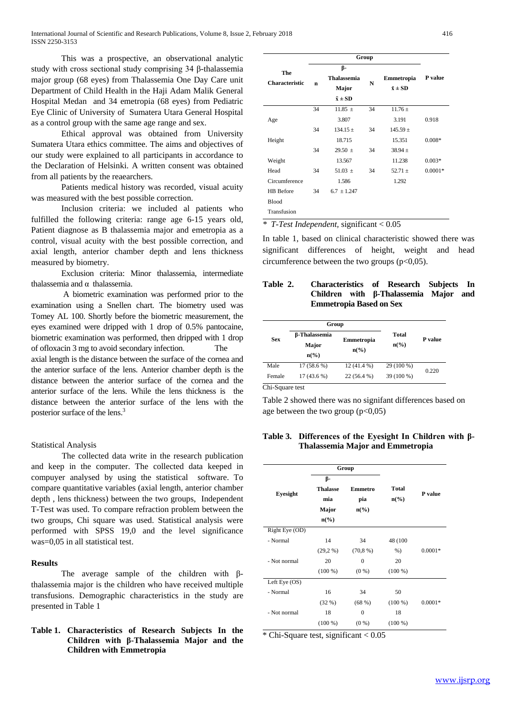This was a prospective, an observational analytic study with cross sectional study comprising 34 β-thalassemia major group (68 eyes) from Thalassemia One Day Care unit Department of Child Health in the Haji Adam Malik General Hospital Medan and 34 emetropia (68 eyes) from Pediatric Eye Clinic of University of Sumatera Utara General Hospital as a control group with the same age range and sex.

Ethical approval was obtained from University Sumatera Utara ethics committee. The aims and objectives of our study were explained to all participants in accordance to the Declaration of Helsinki. A written consent was obtained from all patients by the reaearchers.

Patients medical history was recorded, visual acuity was measured with the best possible correction.

Inclusion criteria: we included al patients who fulfilled the following criteria: range age 6-15 years old, Patient diagnose as B thalassemia major and emetropia as a control, visual acuity with the best possible correction, and axial length, anterior chamber depth and lens thickness measured by biometry.

Exclusion criteria: Minor thalassemia, intermediate thalassemia and  $α$  thalassemia.

A biometric examination was performed prior to the examination using a Snellen chart. The biometry used was Tomey AL 100. Shortly before the biometric measurement, the eyes examined were dripped with 1 drop of 0.5% pantocaine, biometric examination was performed, then dripped with 1 drop of ofloxacin 3 mg to avoid secondary infection. The axial length is the distance between the surface of the cornea and the anterior surface of the lens. Anterior chamber depth is the distance between the anterior surface of the cornea and the anterior surface of the lens. While the lens thickness is the distance between the anterior surface of the lens with the posterior surface of the lens.<sup>3</sup>

#### Statistical Analysis

The collected data write in the research publication and keep in the computer. The collected data keeped in compuyer analysed by using the statistical software. To compare quantitative variables (axial length, anterior chamber depth , lens thickness) between the two groups, Independent T-Test was used. To compare refraction problem between the two groups, Chi square was used. Statistical analysis were performed with SPSS 19,0 and the level significance was=0,05 in all statistical test.

### **Results**

The average sample of the children with βthalassemia major is the children who have received multiple transfusions. Demographic characteristics in the study are presented in Table 1

## **Table 1. Characteristics of Research Subjects In the Children with β-Thalassemia Major and the Children with Emmetropia**

|                              | Group                                                      |               |                                     |              |           |
|------------------------------|------------------------------------------------------------|---------------|-------------------------------------|--------------|-----------|
| The<br><b>Characteristic</b> | β-<br><b>Thalassemia</b><br>n<br>Major<br>$\bar{x} \pm SD$ |               | Emmetropia<br>N<br>$\bar{x} \pm SD$ |              | P value   |
|                              | 34                                                         | 11.85 $\pm$   | 34                                  | $11.76 \pm$  |           |
| Age                          |                                                            | 3.807         |                                     | 3.191        | 0.918     |
|                              | 34                                                         | $134.15 \pm$  | 34                                  | $145.59 \pm$ |           |
| Height                       |                                                            | 18.715        |                                     | 15.351       | $0.008*$  |
|                              | 34                                                         | $29.50 \pm$   | 34                                  | $38.94 \pm$  |           |
| Weight                       |                                                            | 13.567        |                                     | 11.238       | $0.003*$  |
| Head                         | 34                                                         | 51.03 $\pm$   | 34                                  | $52.71 \pm$  | $0.0001*$ |
| Circumference                |                                                            | 1.586         |                                     | 1.292        |           |
| HB Before                    | 34                                                         | $6.7 + 1.247$ |                                     |              |           |
| <b>Blood</b>                 |                                                            |               |                                     |              |           |
| Transfusion                  |                                                            |               |                                     |              |           |

*\* T-Test Independent,* significant < 0.05

In table 1, based on clinical characteristic showed there was significant differences of height, weight and head circumference between the two groups  $(p<0.05)$ .

## **Table 2. Characteristics of Research Subjects In Children with β-Thalassemia Major and Emmetropia Based on Sex**

|            | Group                                        |                               |                          | <b>P</b> value |  |
|------------|----------------------------------------------|-------------------------------|--------------------------|----------------|--|
| <b>Sex</b> | β-Thalassemia<br>Major<br>$n\left(\%\right)$ | Emmetropia<br>$n\binom{0}{0}$ | Total<br>$n\binom{0}{0}$ |                |  |
| Male       | 17 (58.6 %)                                  | $12(41.4\%)$                  | 29 (100 %)               |                |  |
| Female     | 17 (43.6 %)                                  | $22(56.4\%)$                  | 39 (100 %)               | 0.220          |  |

Chi-Square test

Table 2 showed there was no signifant differences based on age between the two group  $(p<0.05)$ 

## **Table 3. Differences of the Eyesight In Children with β-Thalassemia Major and Emmetropia**

|                |                             | Group                       |                             |           |
|----------------|-----------------------------|-----------------------------|-----------------------------|-----------|
| Eyesight       | β-                          |                             |                             |           |
|                | <b>Thalasse</b>             | <b>Emmetro</b>              | <b>Total</b>                | P value   |
|                | mia                         | pia                         | $n\left(\frac{6}{6}\right)$ |           |
|                | Major                       | $n\left(\frac{6}{6}\right)$ |                             |           |
|                | $n\left(\frac{6}{6}\right)$ |                             |                             |           |
| Right Eye (OD) |                             |                             |                             |           |
| - Normal       | 14                          | 34                          | 48 (100)                    |           |
|                | (29,2%                      | (70, 8%)                    | $%$ )                       | $0.0001*$ |
| - Not normal   | 20                          | $\mathbf{0}$                | 20                          |           |
|                | $(100\%)$                   | $(0\%)$                     | $(100\%)$                   |           |
| Left Eye $OS$  |                             |                             |                             |           |
| - Normal       | 16                          | 34                          | 50                          |           |
|                | (32%)                       | (68%)                       | $(100\%)$                   | $0.0001*$ |
| - Not normal   | 18                          | $\mathbf{0}$                | 18                          |           |
|                | $(100\%)$                   | $(0\%)$                     | $(100\%)$                   |           |

\* Chi-Square test*,* significant < 0.05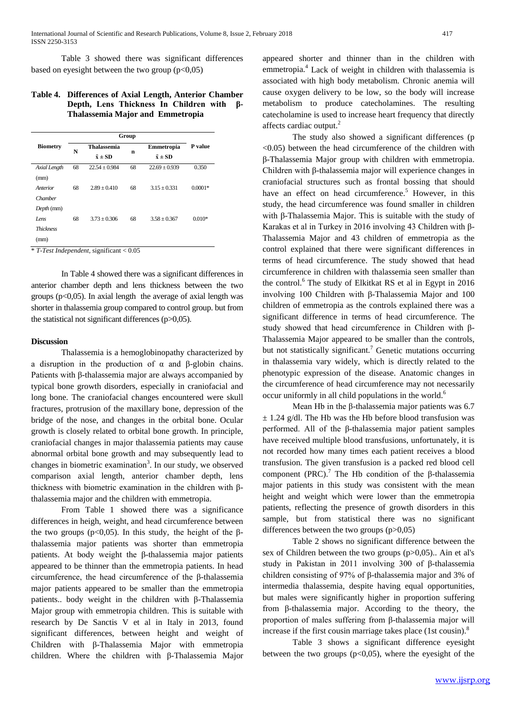Table 3 showed there was significant differences based on eyesight between the two group  $(p<0,05)$ 

#### **Table 4. Differences of Axial Length, Anterior Chamber Depth, Lens Thickness In Children with β-Thalassemia Major and Emmetropia**

|                          |    | Group                                  |             |                                |                |
|--------------------------|----|----------------------------------------|-------------|--------------------------------|----------------|
| <b>Biometry</b>          | N  | <b>Thalassemia</b><br>$\bar{x} \pm SD$ | $\mathbf n$ | Emmetropia<br>$\bar{x} \pm SD$ | <b>P</b> value |
| Axial Length<br>(mm)     | 68 | $22.54 \pm 0.984$                      | 68          | $22.69 \pm 0.939$              | 0.350          |
| Anterior<br>Chamber      | 68 | $2.89 + 0.410$                         | 68          | $3.15 + 0.331$                 | $0.0001*$      |
| Depth (mm)<br>Lens       | 68 | $3.73 + 0.306$                         | 68          | $3.58 + 0.367$                 | $0.010*$       |
| <b>Thickness</b><br>(mm) |    |                                        |             |                                |                |

\* *T-Test Independent,* significant < 0.05

In Table 4 showed there was a significant differences in anterior chamber depth and lens thickness between the two groups ( $p<0,05$ ). In axial length the average of axial length was shorter in thalassemia group compared to control group. but from the statistical not significant differences (p>0,05).

## **Discussion**

Thalassemia is a hemoglobinopathy characterized by a disruption in the production of α and β-globin chains. Patients with β-thalassemia major are always accompanied by typical bone growth disorders, especially in craniofacial and long bone. The craniofacial changes encountered were skull fractures, protrusion of the maxillary bone, depression of the bridge of the nose, and changes in the orbital bone. Ocular growth is closely related to orbital bone growth. In principle, craniofacial changes in major thalassemia patients may cause abnormal orbital bone growth and may subsequently lead to changes in biometric examination<sup>3</sup>. In our study, we observed comparison axial length, anterior chamber depth, lens thickness with biometric examination in the children with βthalassemia major and the children with emmetropia.

From Table 1 showed there was a significance differences in heigh, weight, and head circumference between the two groups ( $p<0,05$ ). In this study, the height of the βthalassemia major patients was shorter than emmetropia patients. At body weight the β-thalassemia major patients appeared to be thinner than the emmetropia patients. In head circumference, the head circumference of the β-thalassemia major patients appeared to be smaller than the emmetropia patients.. body weight in the children with β-Thalassemia Major group with emmetropia children. This is suitable with research by De Sanctis V et al in Italy in 2013, found significant differences, between height and weight of Children with β-Thalassemia Major with emmetropia children. Where the children with β-Thalassemia Major

appeared shorter and thinner than in the children with emmetropia.<sup>4</sup> Lack of weight in children with thalassemia is associated with high body metabolism. Chronic anemia will cause oxygen delivery to be low, so the body will increase metabolism to produce catecholamines. The resulting catecholamine is used to increase heart frequency that directly affects cardiac output.<sup>2</sup>

The study also showed a significant differences (p  $\leq$ 0.05) between the head circumference of the children with β-Thalassemia Major group with children with emmetropia. Children with β-thalassemia major will experience changes in craniofacial structures such as frontal bossing that should have an effect on head circumference.<sup>5</sup> However, in this study, the head circumference was found smaller in children with β-Thalassemia Major. This is suitable with the study of Karakas et al in Turkey in 2016 involving 43 Children with β-Thalassemia Major and 43 children of emmetropia as the control explained that there were significant differences in terms of head circumference. The study showed that head circumference in children with thalassemia seen smaller than the control.<sup>6</sup> The study of Elkitkat RS et al in Egypt in 2016 involving 100 Children with β-Thalassemia Major and 100 children of emmetropia as the controls explained there was a significant difference in terms of head circumference. The study showed that head circumference in Children with β-Thalassemia Major appeared to be smaller than the controls, but not statistically significant.<sup>7</sup> Genetic mutations occurring in thalassemia vary widely, which is directly related to the phenotypic expression of the disease. Anatomic changes in the circumference of head circumference may not necessarily occur uniformly in all child populations in the world.<sup>6</sup>

Mean Hb in the β-thalassemia major patients was 6.7  $\pm$  1.24 g/dl. The Hb was the Hb before blood transfusion was performed. All of the β-thalassemia major patient samples have received multiple blood transfusions, unfortunately, it is not recorded how many times each patient receives a blood transfusion. The given transfusion is a packed red blood cell component (PRC).<sup>7</sup> The Hb condition of the β-thalassemia major patients in this study was consistent with the mean height and weight which were lower than the emmetropia patients, reflecting the presence of growth disorders in this sample, but from statistical there was no significant differences between the two groups (p>0,05)

Table 2 shows no significant difference between the sex of Children between the two groups (p>0,05).. Ain et al's study in Pakistan in 2011 involving 300 of β-thalassemia children consisting of 97% of β-thalassemia major and 3% of intermedia thalassemia, despite having equal opportunities, but males were significantly higher in proportion suffering from β-thalassemia major. According to the theory, the proportion of males suffering from β-thalassemia major will increase if the first cousin marriage takes place  $(1st \text{ cousin})$ .<sup>8</sup>

Table 3 shows a significant difference eyesight between the two groups  $(p<0.05)$ , where the eyesight of the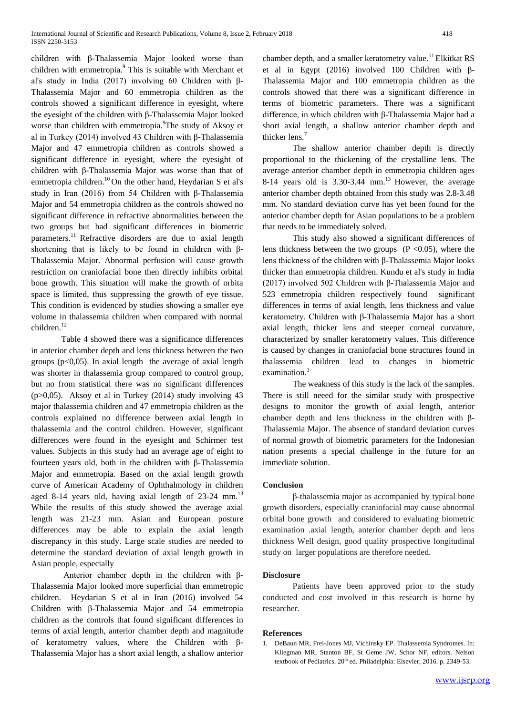children with β-Thalassemia Major looked worse than children with emmetropia.<sup>9</sup> This is suitable with Merchant et al's study in India (2017) involving 60 Children with β-Thalassemia Major and 60 emmetropia children as the controls showed a significant difference in eyesight, where the eyesight of the children with β-Thalassemia Major looked worse than children with emmetropia.<sup>9</sup>The study of Aksoy et al in Turkey (2014) involved 43 Children with β-Thalassemia Major and 47 emmetropia children as controls showed a significant difference in eyesight, where the eyesight of children with β-Thalassemia Major was worse than that of emmetropia children.<sup>10</sup> On the other hand, Heydarian S et al's study in Iran (2016) from 54 Children with β-Thalassemia Major and 54 emmetropia children as the controls showed no significant difference in refractive abnormalities between the two groups but had significant differences in biometric parameters.<sup>11</sup> Refractive disorders are due to axial length shortening that is likely to be found in children with β-Thalassemia Major. Abnormal perfusion will cause growth restriction on craniofacial bone then directly inhibits orbital bone growth. This situation will make the growth of orbita space is limited, thus suppressing the growth of eye tissue. This condition is evidenced by studies showing a smaller eye volume in thalassemia children when compared with normal children.<sup>12</sup>

Table 4 showed there was a significance differences in anterior chamber depth and lens thickness between the two groups ( $p<0,05$ ). In axial length the average of axial length was shorter in thalassemia group compared to control group, but no from statistical there was no significant differences ( $p>0,05$ ). Aksoy et al in Turkey (2014) study involving 43 major thalassemia children and 47 emmetropia children as the controls explained no difference between axial length in thalassemia and the control children. However, significant differences were found in the eyesight and Schirmer test values. Subjects in this study had an average age of eight to fourteen years old, both in the children with β-Thalassemia Major and emmetropia. Based on the axial length growth curve of American Academy of Ophthalmology in children aged 8-14 years old, having axial length of  $23-24$  mm.<sup>13</sup> While the results of this study showed the average axial length was 21-23 mm. Asian and European posture differences may be able to explain the axial length discrepancy in this study. Large scale studies are needed to determine the standard deviation of axial length growth in Asian people, especially

Anterior chamber depth in the children with β-Thalassemia Major looked more superficial than emmetropic children. Heydarian S et al in Iran (2016) involved 54 Children with β-Thalassemia Major and 54 emmetropia children as the controls that found significant differences in terms of axial length, anterior chamber depth and magnitude of keratometry values, where the Children with β-Thalassemia Major has a short axial length, a shallow anterior chamber depth, and a smaller keratometry value.<sup>11</sup> Elkitkat RS et al in Egypt (2016) involved 100 Children with β-Thalassemia Major and 100 emmetropia children as the controls showed that there was a significant difference in terms of biometric parameters. There was a significant difference, in which children with β-Thalassemia Major had a short axial length, a shallow anterior chamber depth and thicker lens.<sup>7</sup>

The shallow anterior chamber depth is directly proportional to the thickening of the crystalline lens. The average anterior chamber depth in emmetropia children ages 8-14 years old is  $3.30-3.44$  mm.<sup>13</sup> However, the average anterior chamber depth obtained from this study was 2.8-3.48 mm. No standard deviation curve has yet been found for the anterior chamber depth for Asian populations to be a problem that needs to be immediately solved.

This study also showed a significant differences of lens thickness between the two groups  $(P \le 0.05)$ , where the lens thickness of the children with β-Thalassemia Major looks thicker than emmetropia children. Kundu et al's study in India (2017) involved 502 Children with β-Thalassemia Major and 523 emmetropia children respectively found significant differences in terms of axial length, lens thickness and value keratometry. Children with β-Thalassemia Major has a short axial length, thicker lens and steeper corneal curvature, characterized by smaller keratometry values. This difference is caused by changes in craniofacial bone structures found in thalassemia children lead to changes in biometric examination.<sup>3</sup>

The weakness of this study is the lack of the samples. There is still neeed for the similar study with prospective designs to monitor the growth of axial length, anterior chamber depth and lens thickness in the children with β-Thalassemia Major. The absence of standard deviation curves of normal growth of biometric parameters for the Indonesian nation presents a special challenge in the future for an immediate solution.

## **Conclusion**

β-thalassemia major as accompanied by typical bone growth disorders, especially craniofacial may cause abnormal orbital bone growth and considered to evaluating biometric examination .axial length, anterior chamber depth and lens thickness Well design, good quality prospective longitudinal study on larger populations are therefore needed.

## **Disclosure**

Patients have been approved prior to the study conducted and cost involved in this research is borne by researcher.

#### **References**

1. DeBaun MR, Frei-Jones MJ, Vichinsky EP. Thalassemia Syndromes. In: Kliegman MR, Stanton BF, St Geme JW, Schor NF, editors. Nelson textbook of Pediatrics. 20<sup>th</sup> ed. Philadelphia: Elsevier; 2016. p. 2349-53.